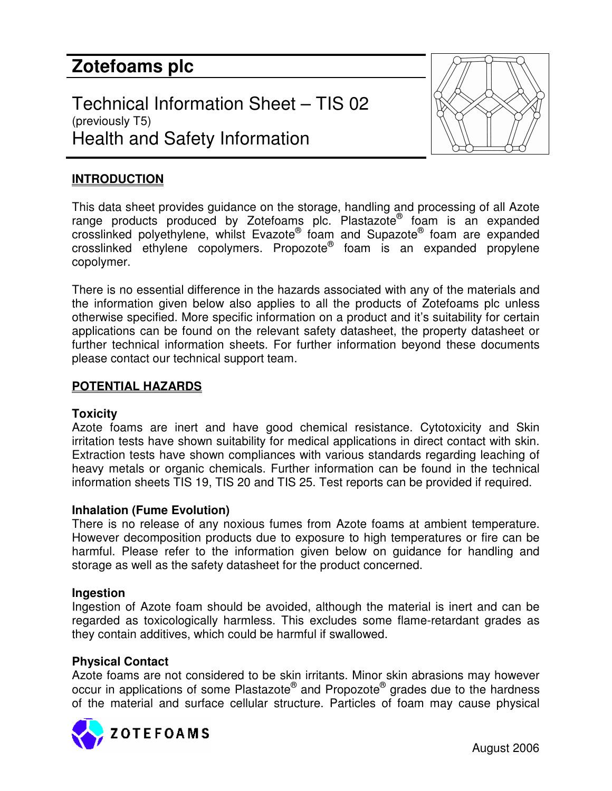# **Zotefoams plc**

Technical Information Sheet – TIS 02 (previously T5) Health and Safety Information



## **INTRODUCTION**

This data sheet provides guidance on the storage, handling and processing of all Azote range products produced by Zotefoams plc. Plastazote® foam is an expanded crosslinked polyethylene, whilst Evazote® foam and Supazote<sup>®</sup> foam are expanded crosslinked ethylene copolymers. Propozote® foam is an expanded propylene copolymer.

There is no essential difference in the hazards associated with any of the materials and the information given below also applies to all the products of Zotefoams plc unless otherwise specified. More specific information on a product and it's suitability for certain applications can be found on the relevant safety datasheet, the property datasheet or further technical information sheets. For further information beyond these documents please contact our technical support team.

## **POTENTIAL HAZARDS**

## **Toxicity**

Azote foams are inert and have good chemical resistance. Cytotoxicity and Skin irritation tests have shown suitability for medical applications in direct contact with skin. Extraction tests have shown compliances with various standards regarding leaching of heavy metals or organic chemicals. Further information can be found in the technical information sheets TIS 19, TIS 20 and TIS 25. Test reports can be provided if required.

## **Inhalation (Fume Evolution)**

There is no release of any noxious fumes from Azote foams at ambient temperature. However decomposition products due to exposure to high temperatures or fire can be harmful. Please refer to the information given below on guidance for handling and storage as well as the safety datasheet for the product concerned.

#### **Ingestion**

Ingestion of Azote foam should be avoided, although the material is inert and can be regarded as toxicologically harmless. This excludes some flame-retardant grades as they contain additives, which could be harmful if swallowed.

#### **Physical Contact**

Azote foams are not considered to be skin irritants. Minor skin abrasions may however occur in applications of some Plastazote® and Propozote® grades due to the hardness of the material and surface cellular structure. Particles of foam may cause physical

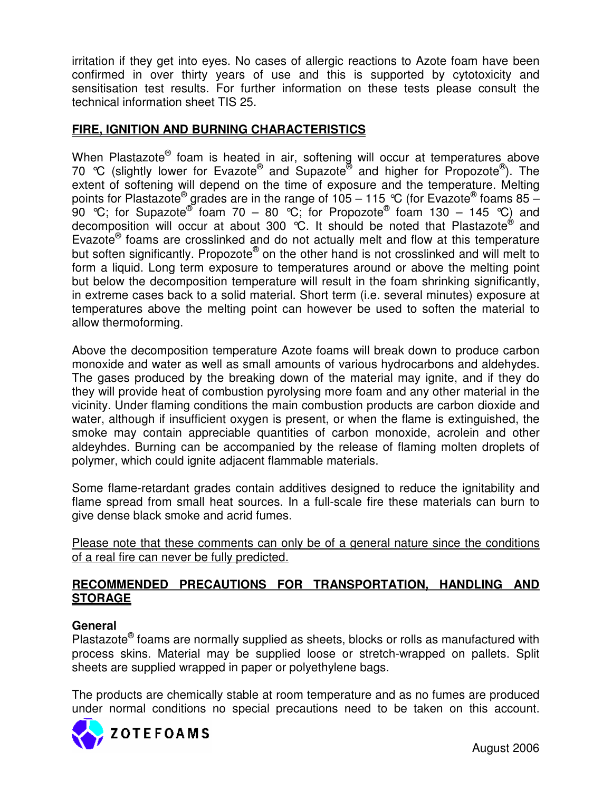irritation if they get into eyes. No cases of allergic reactions to Azote foam have been confirmed in over thirty years of use and this is supported by cytotoxicity and sensitisation test results. For further information on these tests please consult the technical information sheet TIS 25.

# **FIRE, IGNITION AND BURNING CHARACTERISTICS**

When Plastazote® foam is heated in air, softening will occur at temperatures above 70 °C (slightly lower for Evazote® and Supazote® and higher for Propozote®). The extent of softening will depend on the time of exposure and the temperature. Melting points for Plastazote® grades are in the range of 105 – 115 ℃ (for Evazote® foams 85 – 90 °C; for Supazote® foam 70 – 80 °C; for Propozote® foam 130 – 145 °C) and decomposition will occur at about 300 °C. It should be noted that Plastazote® and Evazote<sup>®</sup> foams are crosslinked and do not actually melt and flow at this temperature but soften significantly. Propozote® on the other hand is not crosslinked and will melt to form a liquid. Long term exposure to temperatures around or above the melting point but below the decomposition temperature will result in the foam shrinking significantly, in extreme cases back to a solid material. Short term (i.e. several minutes) exposure at temperatures above the melting point can however be used to soften the material to allow thermoforming.

Above the decomposition temperature Azote foams will break down to produce carbon monoxide and water as well as small amounts of various hydrocarbons and aldehydes. The gases produced by the breaking down of the material may ignite, and if they do they will provide heat of combustion pyrolysing more foam and any other material in the vicinity. Under flaming conditions the main combustion products are carbon dioxide and water, although if insufficient oxygen is present, or when the flame is extinguished, the smoke may contain appreciable quantities of carbon monoxide, acrolein and other aldeyhdes. Burning can be accompanied by the release of flaming molten droplets of polymer, which could ignite adjacent flammable materials.

Some flame-retardant grades contain additives designed to reduce the ignitability and flame spread from small heat sources. In a full-scale fire these materials can burn to give dense black smoke and acrid fumes.

Please note that these comments can only be of a general nature since the conditions of a real fire can never be fully predicted.

# **RECOMMENDED PRECAUTIONS FOR TRANSPORTATION, HANDLING AND STORAGE**

# **General**

Plastazote<sup>®</sup> foams are normally supplied as sheets, blocks or rolls as manufactured with process skins. Material may be supplied loose or stretch-wrapped on pallets. Split sheets are supplied wrapped in paper or polyethylene bags.

The products are chemically stable at room temperature and as no fumes are produced under normal conditions no special precautions need to be taken on this account.

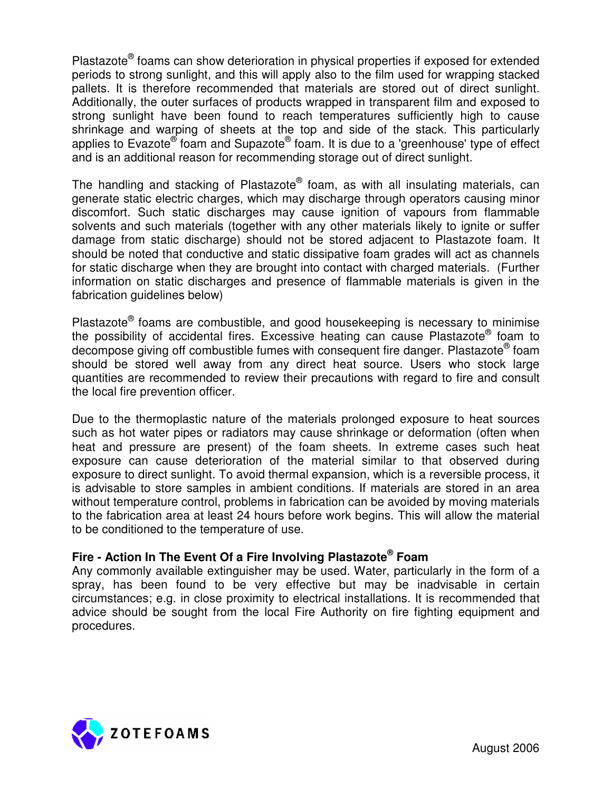Plastazote<sup>®</sup> foams can show deterioration in physical properties if exposed for extended periods to strong sunlight, and this will apply also to the film used for wrapping stacked pallets. It is therefore recommended that materials are stored out of direct sunlight. Additionally, the outer surfaces of products wrapped in transparent film and exposed to strong sunlight have been found to reach temperatures sufficiently high to cause shrinkage and warping of sheets at the top and side of the stack. This particularly applies to Evazote® foam and Supazote® foam. It is due to a 'greenhouse' type of effect and is an additional reason for recommending storage out of direct sunlight.

The handling and stacking of Plastazote® foam, as with all insulating materials, can generate static electric charges, which may discharge through operators causing minor discomfort. Such static discharges may cause ignition of vapours from flammable solvents and such materials (together with any other materials likely to ignite or suffer damage from static discharge) should not be stored adjacent to Plastazote foam. It should be noted that conductive and static dissipative foam grades will act as channels for static discharge when they are brought into contact with charged materials. (Further information on static discharges and presence of flammable materials is given in the fabrication guidelines below)

Plastazote<sup>®</sup> foams are combustible, and good housekeeping is necessary to minimise the possibility of accidental fires. Excessive heating can cause Plastazote® foam to decompose giving off combustible fumes with consequent fire danger. Plastazote® foam should be stored well away from any direct heat source. Users who stock large quantities are recommended to review their precautions with regard to fire and consult the local fire prevention officer.

Due to the thermoplastic nature of the materials prolonged exposure to heat sources such as hot water pipes or radiators may cause shrinkage or deformation (often when heat and pressure are present) of the foam sheets. In extreme cases such heat exposure can cause deterioration of the material similar to that observed during exposure to direct sunlight. To avoid thermal expansion, which is a reversible process, it is advisable to store samples in ambient conditions. If materials are stored in an area without temperature control, problems in fabrication can be avoided by moving materials to the fabrication area at least 24 hours before work begins. This will allow the material to be conditioned to the temperature of use.

# **Fire - Action In The Event Of a Fire Involving Plastazote ® Foam**

Any commonly available extinguisher may be used. Water, particularly in the form of a spray, has been found to be very effective but may be inadvisable in certain circumstances; e.g. in close proximity to electrical installations. It is recommended that advice should be sought from the local Fire Authority on fire fighting equipment and procedures.

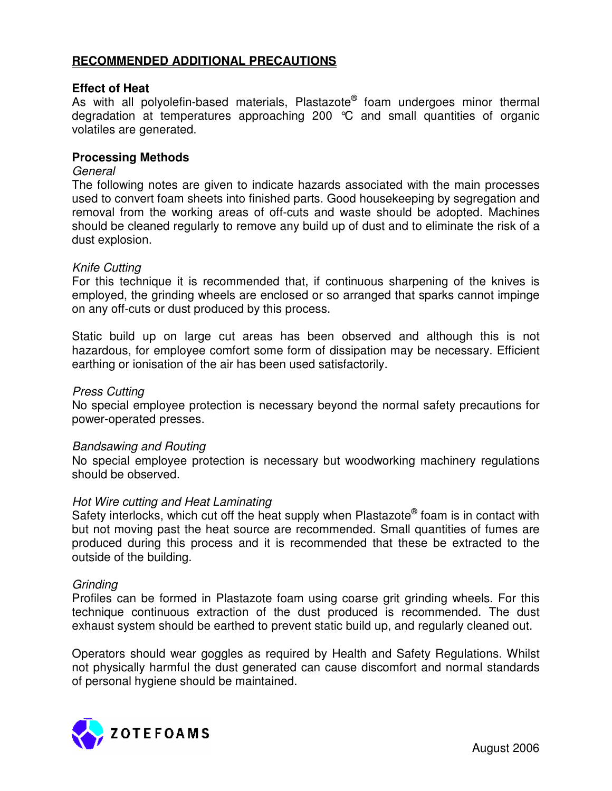## **RECOMMENDED ADDITIONAL PRECAUTIONS**

#### **Effect of Heat**

As with all polyolefin-based materials, Plastazote® foam undergoes minor thermal degradation at temperatures approaching 200 °C and small quantities of organic volatiles are generated.

#### **Processing Methods**

#### *General*

The following notes are given to indicate hazards associated with the main processes used to convert foam sheets into finished parts. Good housekeeping by segregation and removal from the working areas of off-cuts and waste should be adopted. Machines should be cleaned regularly to remove any build up of dust and to eliminate the risk of a dust explosion.

#### *Knife Cutting*

For this technique it is recommended that, if continuous sharpening of the knives is employed, the grinding wheels are enclosed or so arranged that sparks cannot impinge on any off-cuts or dust produced by this process.

Static build up on large cut areas has been observed and although this is not hazardous, for employee comfort some form of dissipation may be necessary. Efficient earthing or ionisation of the air has been used satisfactorily.

#### *Press Cutting*

No special employee protection is necessary beyond the normal safety precautions for power-operated presses.

#### *Bandsawing and Routing*

No special employee protection is necessary but woodworking machinery regulations should be observed.

#### *Hot Wire cutting and Heat Laminating*

Safety interlocks, which cut off the heat supply when Plastazote® foam is in contact with but not moving past the heat source are recommended. Small quantities of fumes are produced during this process and it is recommended that these be extracted to the outside of the building.

#### *Grinding*

Profiles can be formed in Plastazote foam using coarse grit grinding wheels. For this technique continuous extraction of the dust produced is recommended. The dust exhaust system should be earthed to prevent static build up, and regularly cleaned out.

Operators should wear goggles as required by Health and Safety Regulations. Whilst not physically harmful the dust generated can cause discomfort and normal standards of personal hygiene should be maintained.

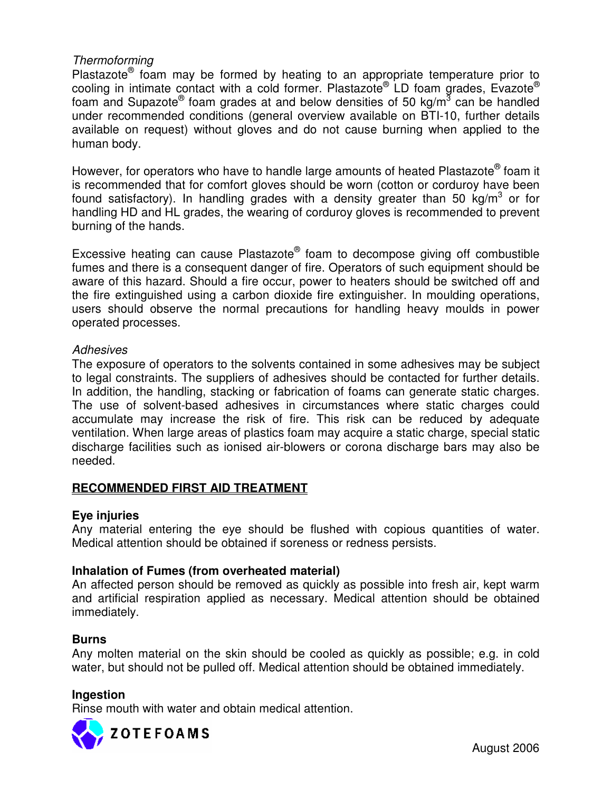## *Thermoforming*

Plastazote<sup>®</sup> foam may be formed by heating to an appropriate temperature prior to cooling in intimate contact with a cold former. Plastazote® LD foam grades, Evazote® foam and Supazote® foam grades at and below densities of 50 kg/m<sup>3</sup> can be handled under recommended conditions (general overview available on BTI-10, further details available on request) without gloves and do not cause burning when applied to the human body.

However, for operators who have to handle large amounts of heated Plastazote® foam it is recommended that for comfort gloves should be worn (cotton or corduroy have been found satisfactory). In handling grades with a density greater than 50 kg/m<sup>3</sup> or for handling HD and HL grades, the wearing of corduroy gloves is recommended to prevent burning of the hands.

Excessive heating can cause Plastazote® foam to decompose giving off combustible fumes and there is a consequent danger of fire. Operators of such equipment should be aware of this hazard. Should a fire occur, power to heaters should be switched off and the fire extinguished using a carbon dioxide fire extinguisher. In moulding operations, users should observe the normal precautions for handling heavy moulds in power operated processes.

## *Adhesives*

The exposure of operators to the solvents contained in some adhesives may be subject to legal constraints. The suppliers of adhesives should be contacted for further details. In addition, the handling, stacking or fabrication of foams can generate static charges. The use of solvent-based adhesives in circumstances where static charges could accumulate may increase the risk of fire. This risk can be reduced by adequate ventilation. When large areas of plastics foam may acquire a static charge, special static discharge facilities such as ionised air-blowers or corona discharge bars may also be needed.

# **RECOMMENDED FIRST AID TREATMENT**

## **Eye injuries**

Any material entering the eye should be flushed with copious quantities of water. Medical attention should be obtained if soreness or redness persists.

## **Inhalation of Fumes (from overheated material)**

An affected person should be removed as quickly as possible into fresh air, kept warm and artificial respiration applied as necessary. Medical attention should be obtained immediately.

#### **Burns**

Any molten material on the skin should be cooled as quickly as possible; e.g. in cold water, but should not be pulled off. Medical attention should be obtained immediately.

#### **Ingestion**

Rinse mouth with water and obtain medical attention.